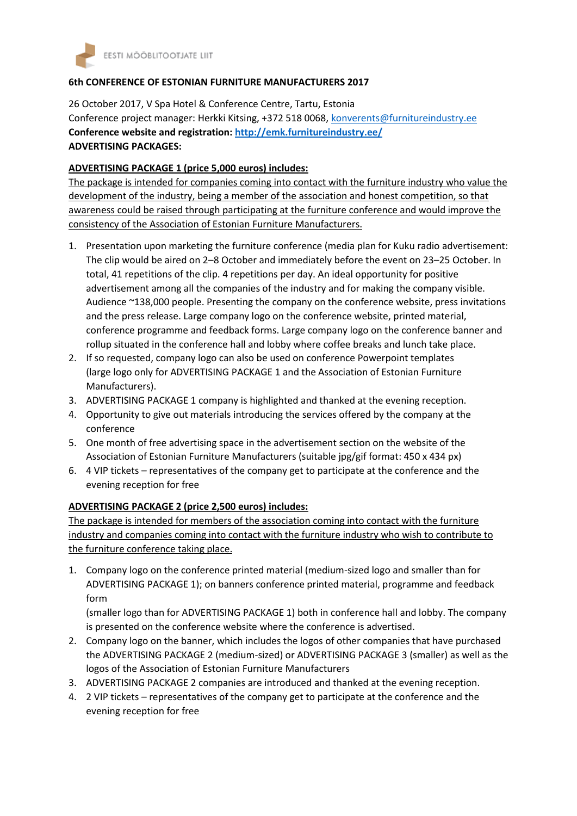

## **6th CONFERENCE OF ESTONIAN FURNITURE MANUFACTURERS 2017**

26 October 2017, V Spa Hotel & Conference Centre, Tartu, Estonia Conference project manager: Herkki Kitsing, +372 518 0068[, konverents@furnitureindustry.ee](mailto:konverents@furnitureindustry.ee) **Conference website and registration:<http://emk.furnitureindustry.ee/> ADVERTISING PACKAGES:**

## **ADVERTISING PACKAGE 1 (price 5,000 euros) includes:**

The package is intended for companies coming into contact with the furniture industry who value the development of the industry, being a member of the association and honest competition, so that awareness could be raised through participating at the furniture conference and would improve the consistency of the Association of Estonian Furniture Manufacturers.

- 1. Presentation upon marketing the furniture conference (media plan for Kuku radio advertisement: The clip would be aired on 2–8 October and immediately before the event on 23–25 October. In total, 41 repetitions of the clip. 4 repetitions per day. An ideal opportunity for positive advertisement among all the companies of the industry and for making the company visible. Audience ~138,000 people. Presenting the company on the conference website, press invitations and the press release. Large company logo on the conference website, printed material, conference programme and feedback forms. Large company logo on the conference banner and rollup situated in the conference hall and lobby where coffee breaks and lunch take place.
- 2. If so requested, company logo can also be used on conference Powerpoint templates (large logo only for ADVERTISING PACKAGE 1 and the Association of Estonian Furniture Manufacturers).
- 3. ADVERTISING PACKAGE 1 company is highlighted and thanked at the evening reception.
- 4. Opportunity to give out materials introducing the services offered by the company at the conference
- 5. One month of free advertising space in the advertisement section on the website of the Association of Estonian Furniture Manufacturers (suitable jpg/gif format: 450 x 434 px)
- 6. 4 VIP tickets representatives of the company get to participate at the conference and the evening reception for free

## **ADVERTISING PACKAGE 2 (price 2,500 euros) includes:**

The package is intended for members of the association coming into contact with the furniture industry and companies coming into contact with the furniture industry who wish to contribute to the furniture conference taking place.

1. Company logo on the conference printed material (medium-sized logo and smaller than for ADVERTISING PACKAGE 1); on banners conference printed material, programme and feedback form

(smaller logo than for ADVERTISING PACKAGE 1) both in conference hall and lobby. The company is presented on the conference website where the conference is advertised.

- 2. Company logo on the banner, which includes the logos of other companies that have purchased the ADVERTISING PACKAGE 2 (medium-sized) or ADVERTISING PACKAGE 3 (smaller) as well as the logos of the Association of Estonian Furniture Manufacturers
- 3. ADVERTISING PACKAGE 2 companies are introduced and thanked at the evening reception.
- 4. 2 VIP tickets representatives of the company get to participate at the conference and the evening reception for free